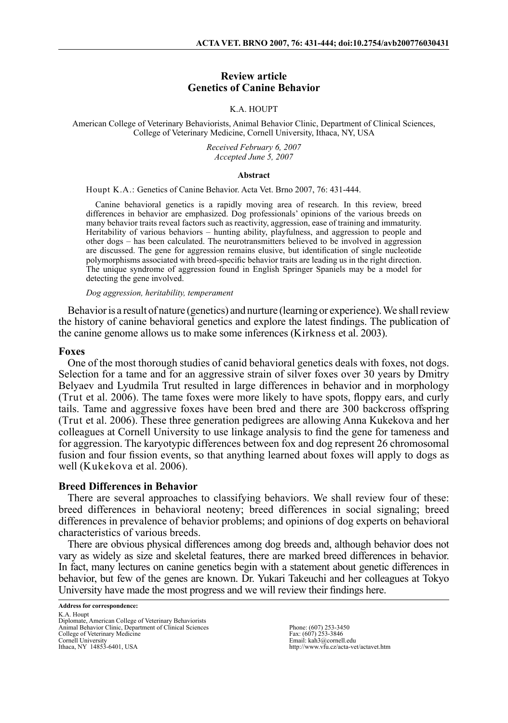## **Review article Genetics of Canine Behavior**

#### K.A. HOUPT

American College of Veterinary Behaviorists, Animal Behavior Clinic, Department of Clinical Sciences, College of Veterinary Medicine, Cornell University, Ithaca, NY, USA

> *Received February 6, 2007 Accepted June 5, 2007*

#### **Abstract**

Houpt K.A.: Genetics of Canine Behavior. Acta Vet. Brno 2007, 76: 431-444.

Canine behavioral genetics is a rapidly moving area of research. In this review, breed differences in behavior are emphasized. Dog professionals' opinions of the various breeds on many behavior traits reveal factors such as reactivity, aggression, ease of training and immaturity. Heritability of various behaviors – hunting ability, playfulness, and aggression to people and other dogs – has been calculated. The neurotransmitters believed to be involved in aggression are discussed. The gene for aggression remains elusive, but identification of single nucleotide polymorphisms associated with breed-specific behavior traits are leading us in the right direction. The unique syndrome of aggression found in English Springer Spaniels may be a model for detecting the gene involved.

*Dog aggression, heritability, temperament* 

Behavior is a result of nature (genetics) and nurture (learning or experience). We shall review the history of canine behavioral genetics and explore the latest findings. The publication of the canine genome allows us to make some inferences (Kirkness et al. 2003).

#### **Foxes**

One of the most thorough studies of canid behavioral genetics deals with foxes, not dogs. Selection for a tame and for an aggressive strain of silver foxes over 30 years by Dmitry Belyaev and Lyudmila Trut resulted in large differences in behavior and in morphology (Trut et al. 2006). The tame foxes were more likely to have spots, floppy ears, and curly tails. Tame and aggressive foxes have been bred and there are 300 backcross offspring (Trut et al. 2006). These three generation pedigrees are allowing Anna Kukekova and her colleagues at Cornell University to use linkage analysis to find the gene for tameness and for aggression. The karyotypic differences between fox and dog represent 26 chromosomal fusion and four fission events, so that anything learned about foxes will apply to dogs as well (Kukekova et al. 2006).

### **Breed Differences in Behavior**

There are several approaches to classifying behaviors. We shall review four of these: breed differences in behavioral neoteny; breed differences in social signaling; breed differences in prevalence of behavior problems; and opinions of dog experts on behavioral characteristics of various breeds.

There are obvious physical differences among dog breeds and, although behavior does not vary as widely as size and skeletal features, there are marked breed differences in behavior. In fact, many lectures on canine genetics begin with a statement about genetic differences in behavior, but few of the genes are known. Dr. Yukari Takeuchi and her colleagues at Tokyo University have made the most progress and we will review their findings here.

#### **Address for correspondence:**

K.A. Houpt Diplomate, American College of Veterinary Behaviorists Animal Behavior Clinic, Department of Clinical Sciences College of Veterinary Medicine Cornell University Ithaca, NY 14853-6401, USA

Phone: (607) 253-3450 Fax: (607) 253-3846 Email: kah3@cornell.edu http://www.vfu.cz/acta-vet/actavet.htm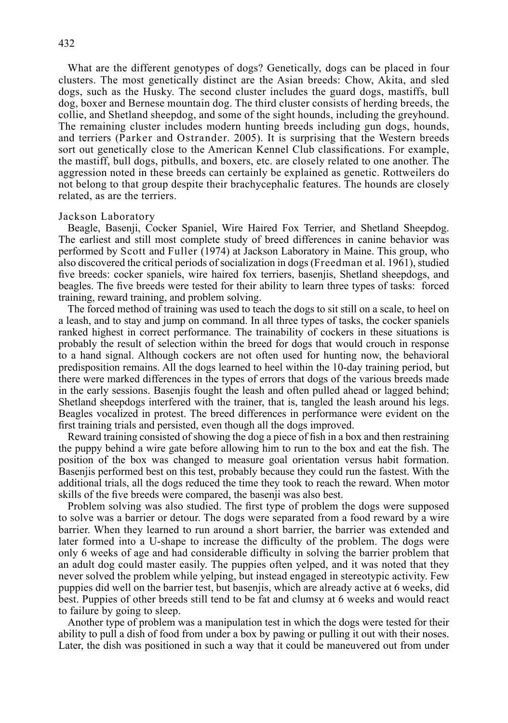What are the different genotypes of dogs? Genetically, dogs can be placed in four clusters. The most genetically distinct are the Asian breeds: Chow, Akita, and sled dogs, such as the Husky. The second cluster includes the guard dogs, mastiffs, bull dog, boxer and Bernese mountain dog. The third cluster consists of herding breeds, the collie, and Shetland sheepdog, and some of the sight hounds, including the greyhound. The remaining cluster includes modern hunting breeds including gun dogs, hounds, and terriers (Parker and Ostrander. 2005). It is surprising that the Western breeds sort out genetically close to the American Kennel Club classifications. For example, the mastiff, bull dogs, pitbulls, and boxers, etc. are closely related to one another. The aggression noted in these breeds can certainly be explained as genetic. Rottweilers do not belong to that group despite their brachycephalic features. The hounds are closely related, as are the terriers.

#### Jackson Laboratory

Beagle, Basenji, Cocker Spaniel, Wire Haired Fox Terrier, and Shetland Sheepdog. The earliest and still most complete study of breed differences in canine behavior was performed by Scott and Fuller (1974) at Jackson Laboratory in Maine. This group, who also discovered the critical periods of socialization in dogs (Freedman et al. 1961), studied five breeds: cocker spaniels, wire haired fox terriers, basenjis, Shetland sheepdogs, and beagles. The five breeds were tested for their ability to learn three types of tasks: forced training, reward training, and problem solving.

The forced method of training was used to teach the dogs to sit still on a scale, to heel on a leash, and to stay and jump on command. In all three types of tasks, the cocker spaniels ranked highest in correct performance. The trainability of cockers in these situations is probably the result of selection within the breed for dogs that would crouch in response to a hand signal. Although cockers are not often used for hunting now, the behavioral predisposition remains. All the dogs learned to heel within the 10-day training period, but there were marked differences in the types of errors that dogs of the various breeds made in the early sessions. Basenjis fought the leash and often pulled ahead or lagged behind; Shetland sheepdogs interfered with the trainer, that is, tangled the leash around his legs. Beagles vocalized in protest. The breed differences in performance were evident on the first training trials and persisted, even though all the dogs improved.

Reward training consisted of showing the dog a piece of fish in a box and then restraining the puppy behind a wire gate before allowing him to run to the box and eat the fish. The position of the box was changed to measure goal orientation versus habit formation. Basenjis performed best on this test, probably because they could run the fastest. With the additional trials, all the dogs reduced the time they took to reach the reward. When motor skills of the five breeds were compared, the basenji was also best.

Problem solving was also studied. The first type of problem the dogs were supposed to solve was a barrier or detour. The dogs were separated from a food reward by a wire barrier. When they learned to run around a short barrier, the barrier was extended and later formed into a U-shape to increase the difficulty of the problem. The dogs were only 6 weeks of age and had considerable difficulty in solving the barrier problem that an adult dog could master easily. The puppies often yelped, and it was noted that they never solved the problem while yelping, but instead engaged in stereotypic activity. Few puppies did well on the barrier test, but basenjis, which are already active at 6 weeks, did best. Puppies of other breeds still tend to be fat and clumsy at 6 weeks and would react to failure by going to sleep.

Another type of problem was a manipulation test in which the dogs were tested for their ability to pull a dish of food from under a box by pawing or pulling it out with their noses. Later, the dish was positioned in such a way that it could be maneuvered out from under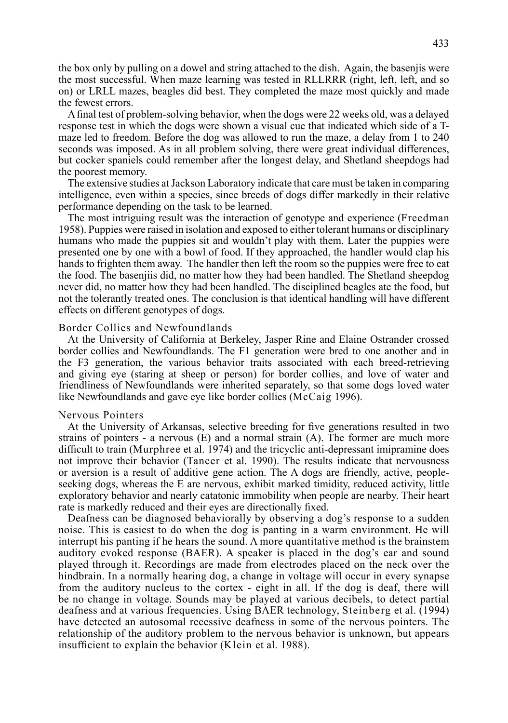the box only by pulling on a dowel and string attached to the dish. Again, the basenjis were the most successful. When maze learning was tested in RLLRRR (right, left, left, and so on) or LRLL mazes, beagles did best. They completed the maze most quickly and made the fewest errors.

A final test of problem-solving behavior, when the dogs were 22 weeks old, was a delayed response test in which the dogs were shown a visual cue that indicated which side of a Tmaze led to freedom. Before the dog was allowed to run the maze, a delay from 1 to 240 seconds was imposed. As in all problem solving, there were great individual differences, but cocker spaniels could remember after the longest delay, and Shetland sheepdogs had the poorest memory.

The extensive studies at Jackson Laboratory indicate that care must be taken in comparing intelligence, even within a species, since breeds of dogs differ markedly in their relative performance depending on the task to be learned.

The most intriguing result was the interaction of genotype and experience (Freedman 1958). Puppies were raised in isolation and exposed to either tolerant humans or disciplinary humans who made the puppies sit and wouldn't play with them. Later the puppies were presented one by one with a bowl of food. If they approached, the handler would clap his hands to frighten them away. The handler then left the room so the puppies were free to eat the food. The basenjiis did, no matter how they had been handled. The Shetland sheepdog never did, no matter how they had been handled. The disciplined beagles ate the food, but not the tolerantly treated ones. The conclusion is that identical handling will have different effects on different genotypes of dogs.

# Border Collies and Newfoundlands

At the University of California at Berkeley, Jasper Rine and Elaine Ostrander crossed border collies and Newfoundlands. The F1 generation were bred to one another and in the F3 generation, the various behavior traits associated with each breed-retrieving and giving eye (staring at sheep or person) for border collies, and love of water and friendliness of Newfoundlands were inherited separately, so that some dogs loved water like Newfoundlands and gave eye like border collies (McCaig 1996).

### Nervous Pointers

At the University of Arkansas, selective breeding for five generations resulted in two strains of pointers - a nervous  $(E)$  and a normal strain  $(A)$ . The former are much more difficult to train (Murphree et al. 1974) and the tricyclic anti-depressant imipramine does not improve their behavior (Tancer et al. 1990). The results indicate that nervousness or aversion is a result of additive gene action. The A dogs are friendly, active, peopleseeking dogs, whereas the E are nervous, exhibit marked timidity, reduced activity, little exploratory behavior and nearly catatonic immobility when people are nearby. Their heart rate is markedly reduced and their eyes are directionally fixed.

Deafness can be diagnosed behaviorally by observing a dog's response to a sudden noise. This is easiest to do when the dog is panting in a warm environment. He will interrupt his panting if he hears the sound. A more quantitative method is the brainstem auditory evoked response (BAER). A speaker is placed in the dog's ear and sound played through it. Recordings are made from electrodes placed on the neck over the hindbrain. In a normally hearing dog, a change in voltage will occur in every synapse from the auditory nucleus to the cortex - eight in all. If the dog is deaf, there will be no change in voltage. Sounds may be played at various decibels, to detect partial deafness and at various frequencies. Using BAER technology, Steinberg et al. (1994) have detected an autosomal recessive deafness in some of the nervous pointers. The relationship of the auditory problem to the nervous behavior is unknown, but appears insufficient to explain the behavior (Klein et al. 1988).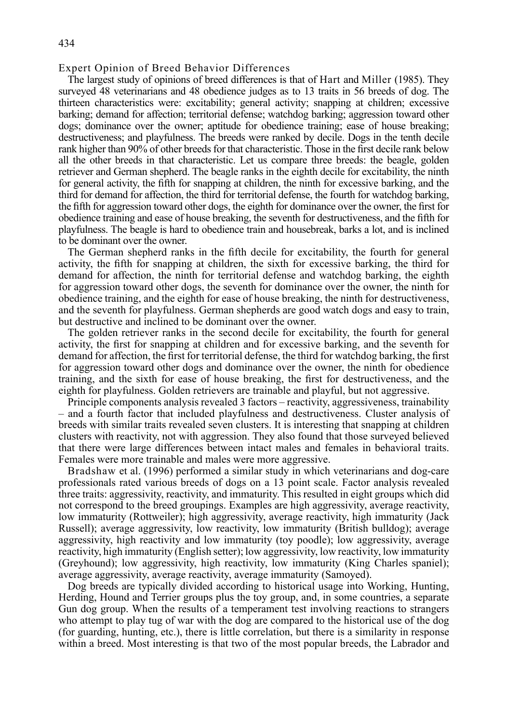### Expert Opinion of Breed Behavior Differences

The largest study of opinions of breed differences is that of Hart and Miller (1985). They surveyed 48 veterinarians and 48 obedience judges as to 13 traits in 56 breeds of dog. The thirteen characteristics were: excitability; general activity; snapping at children; excessive barking; demand for affection; territorial defense; watchdog barking; aggression toward other dogs; dominance over the owner; aptitude for obedience training; ease of house breaking; destructiveness; and playfulness. The breeds were ranked by decile. Dogs in the tenth decile rank higher than 90% of other breeds for that characteristic. Those in the first decile rank below all the other breeds in that characteristic. Let us compare three breeds: the beagle, golden retriever and German shepherd. The beagle ranks in the eighth decile for excitability, the ninth for general activity, the fifth for snapping at children, the ninth for excessive barking, and the third for demand for affection, the third for territorial defense, the fourth for watchdog barking, the fifth for aggression toward other dogs, the eighth for dominance over the owner, the first for obedience training and ease of house breaking, the seventh for destructiveness, and the fifth for playfulness. The beagle is hard to obedience train and housebreak, barks a lot, and is inclined to be dominant over the owner.

The German shepherd ranks in the fifth decile for excitability, the fourth for general activity, the fifth for snapping at children, the sixth for excessive barking, the third for demand for affection, the ninth for territorial defense and watchdog barking, the eighth for aggression toward other dogs, the seventh for dominance over the owner, the ninth for obedience training, and the eighth for ease of house breaking, the ninth for destructiveness, and the seventh for playfulness. German shepherds are good watch dogs and easy to train, but destructive and inclined to be dominant over the owner.

The golden retriever ranks in the second decile for excitability, the fourth for general activity, the first for snapping at children and for excessive barking, and the seventh for demand for affection, the first for territorial defense, the third for watchdog barking, the first for aggression toward other dogs and dominance over the owner, the ninth for obedience training, and the sixth for ease of house breaking, the first for destructiveness, and the eighth for playfulness. Golden retrievers are trainable and playful, but not aggressive.

Principle components analysis revealed 3 factors – reactivity, aggressiveness, trainability – and a fourth factor that included playfulness and destructiveness. Cluster analysis of breeds with similar traits revealed seven clusters. It is interesting that snapping at children clusters with reactivity, not with aggression. They also found that those surveyed believed that there were large differences between intact males and females in behavioral traits. Females were more trainable and males were more aggressive.

Bradshaw et al. (1996) performed a similar study in which veterinarians and dog-care professionals rated various breeds of dogs on a 13 point scale. Factor analysis revealed three traits: aggressivity, reactivity, and immaturity. This resulted in eight groups which did not correspond to the breed groupings. Examples are high aggressivity, average reactivity, low immaturity (Rottweiler); high aggressivity, average reactivity, high immaturity (Jack Russell); average aggressivity, low reactivity, low immaturity (British bulldog); average aggressivity, high reactivity and low immaturity (toy poodle); low aggressivity, average reactivity, high immaturity (English setter); low aggressivity, low reactivity, low immaturity (Greyhound); low aggressivity, high reactivity, low immaturity (King Charles spaniel); average aggressivity, average reactivity, average immaturity (Samoyed).

Dog breeds are typically divided according to historical usage into Working, Hunting, Herding, Hound and Terrier groups plus the toy group, and, in some countries, a separate Gun dog group. When the results of a temperament test involving reactions to strangers who attempt to play tug of war with the dog are compared to the historical use of the dog (for guarding, hunting, etc.), there is little correlation, but there is a similarity in response within a breed. Most interesting is that two of the most popular breeds, the Labrador and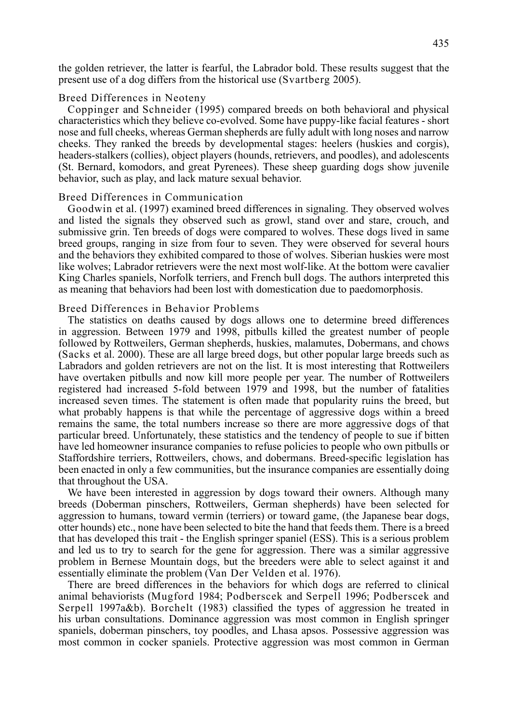the golden retriever, the latter is fearful, the Labrador bold. These results suggest that the present use of a dog differs from the historical use (Svartberg 2005).

#### Breed Differences in Neoteny

Coppinger and Schneider (1995) compared breeds on both behavioral and physical characteristics which they believe co-evolved. Some have puppy-like facial features - short nose and full cheeks, whereas German shepherds are fully adult with long noses and narrow cheeks. They ranked the breeds by developmental stages: heelers (huskies and corgis), headers-stalkers (collies), object players (hounds, retrievers, and poodles), and adolescents (St. Bernard, komodors, and great Pyrenees). These sheep guarding dogs show juvenile behavior, such as play, and lack mature sexual behavior.

#### Breed Differences in Communication

Goodwin et al. (1997) examined breed differences in signaling. They observed wolves and listed the signals they observed such as growl, stand over and stare, crouch, and submissive grin. Ten breeds of dogs were compared to wolves. These dogs lived in same breed groups, ranging in size from four to seven. They were observed for several hours and the behaviors they exhibited compared to those of wolves. Siberian huskies were most like wolves; Labrador retrievers were the next most wolf-like. At the bottom were cavalier King Charles spaniels, Norfolk terriers, and French bull dogs. The authors interpreted this as meaning that behaviors had been lost with domestication due to paedomorphosis.

## Breed Differences in Behavior Problems

The statistics on deaths caused by dogs allows one to determine breed differences in aggression. Between 1979 and 1998, pitbulls killed the greatest number of people followed by Rottweilers, German shepherds, huskies, malamutes, Dobermans, and chows (Sacks et al. 2000). These are all large breed dogs, but other popular large breeds such as Labradors and golden retrievers are not on the list. It is most interesting that Rottweilers have overtaken pitbulls and now kill more people per year. The number of Rottweilers registered had increased 5-fold between 1979 and 1998, but the number of fatalities increased seven times. The statement is often made that popularity ruins the breed, but what probably happens is that while the percentage of aggressive dogs within a breed remains the same, the total numbers increase so there are more aggressive dogs of that particular breed. Unfortunately, these statistics and the tendency of people to sue if bitten have led homeowner insurance companies to refuse policies to people who own pitbulls or Staffordshire terriers, Rottweilers, chows, and dobermans. Breed-specific legislation has been enacted in only a few communities, but the insurance companies are essentially doing that throughout the USA.

We have been interested in aggression by dogs toward their owners. Although many breeds (Doberman pinschers, Rottweilers, German shepherds) have been selected for aggression to humans, toward vermin (terriers) or toward game, (the Japanese bear dogs, otter hounds) etc., none have been selected to bite the hand that feeds them. There is a breed that has developed this trait - the English springer spaniel (ESS). This is a serious problem and led us to try to search for the gene for aggression. There was a similar aggressive problem in Bernese Mountain dogs, but the breeders were able to select against it and essentially eliminate the problem (Van Der Velden et al. 1976).

There are breed differences in the behaviors for which dogs are referred to clinical animal behaviorists (Mugford 1984; Podberscek and Serpell 1996; Podberscek and Serpell 1997a&b). Borchelt (1983) classified the types of aggression he treated in his urban consultations. Dominance aggression was most common in English springer spaniels, doberman pinschers, toy poodles, and Lhasa apsos. Possessive aggression was most common in cocker spaniels. Protective aggression was most common in German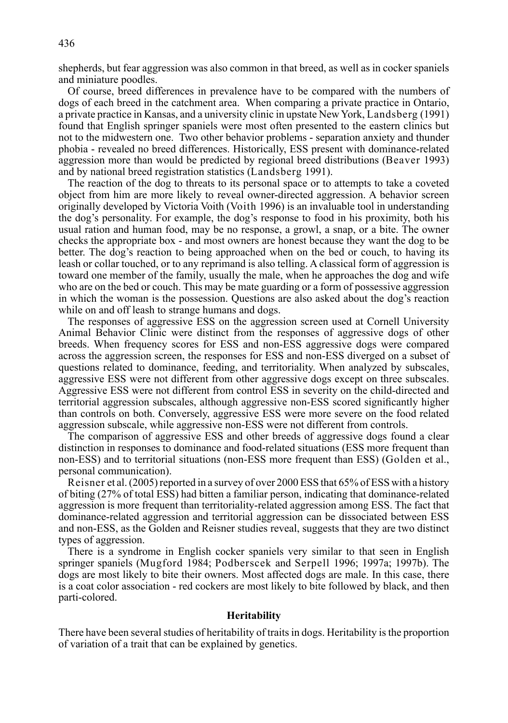shepherds, but fear aggression was also common in that breed, as well as in cocker spaniels and miniature poodles.

Of course, breed differences in prevalence have to be compared with the numbers of dogs of each breed in the catchment area. When comparing a private practice in Ontario, a private practice in Kansas, and a university clinic in upstate New York, Landsberg (1991) found that English springer spaniels were most often presented to the eastern clinics but not to the midwestern one. Two other behavior problems - separation anxiety and thunder phobia - revealed no breed differences. Historically, ESS present with dominance-related aggression more than would be predicted by regional breed distributions (Beaver 1993) and by national breed registration statistics (Landsberg 1991).

The reaction of the dog to threats to its personal space or to attempts to take a coveted object from him are more likely to reveal owner-directed aggression. A behavior screen originally developed by Victoria Voith (Voith 1996) is an invaluable tool in understanding the dog's personality. For example, the dog's response to food in his proximity, both his usual ration and human food, may be no response, a growl, a snap, or a bite. The owner checks the appropriate box - and most owners are honest because they want the dog to be better. The dog's reaction to being approached when on the bed or couch, to having its leash or collar touched, or to any reprimand is also telling. A classical form of aggression is toward one member of the family, usually the male, when he approaches the dog and wife who are on the bed or couch. This may be mate guarding or a form of possessive aggression in which the woman is the possession. Questions are also asked about the dog's reaction while on and off leash to strange humans and dogs.

The responses of aggressive ESS on the aggression screen used at Cornell University Animal Behavior Clinic were distinct from the responses of aggressive dogs of other breeds. When frequency scores for ESS and non-ESS aggressive dogs were compared across the aggression screen, the responses for ESS and non-ESS diverged on a subset of questions related to dominance, feeding, and territoriality. When analyzed by subscales, aggressive ESS were not different from other aggressive dogs except on three subscales. Aggressive ESS were not different from control ESS in severity on the child-directed and territorial aggression subscales, although aggressive non-ESS scored significantly higher than controls on both. Conversely, aggressive ESS were more severe on the food related aggression subscale, while aggressive non-ESS were not different from controls.

The comparison of aggressive ESS and other breeds of aggressive dogs found a clear distinction in responses to dominance and food-related situations (ESS more frequent than non-ESS) and to territorial situations (non-ESS more frequent than ESS) (Golden et al., personal communication).

Reisner et al. (2005) reported in a survey of over 2000 ESS that 65% of ESS with a history of biting (27% of total ESS) had bitten a familiar person, indicating that dominance-related aggression is more frequent than territoriality-related aggression among ESS. The fact that dominance-related aggression and territorial aggression can be dissociated between ESS and non-ESS, as the Golden and Reisner studies reveal, suggests that they are two distinct types of aggression.

There is a syndrome in English cocker spaniels very similar to that seen in English springer spaniels (Mugford 1984; Podberscek and Serpell 1996; 1997a; 1997b). The dogs are most likely to bite their owners. Most affected dogs are male. In this case, there is a coat color association - red cockers are most likely to bite followed by black, and then parti-colored.

### **Heritability**

There have been several studies of heritability of traits in dogs. Heritability is the proportion of variation of a trait that can be explained by genetics.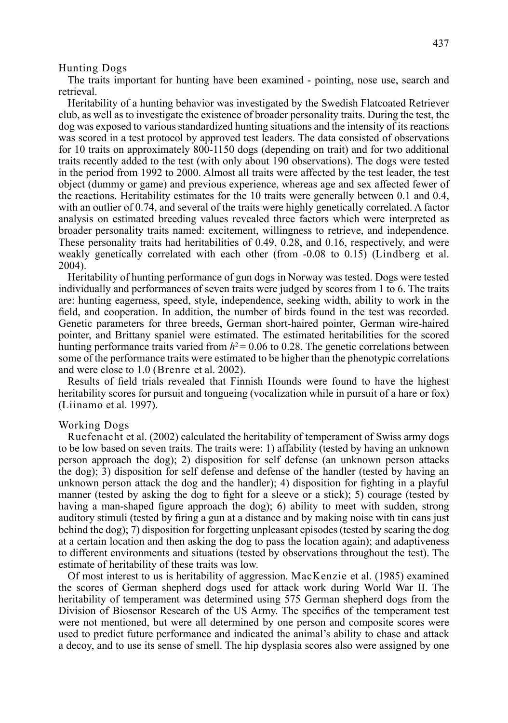#### Hunting Dogs

The traits important for hunting have been examined - pointing, nose use, search and retrieval.

Heritability of a hunting behavior was investigated by the Swedish Flatcoated Retriever club, as well as to investigate the existence of broader personality traits. During the test, the dog was exposed to various standardized hunting situations and the intensity of its reactions was scored in a test protocol by approved test leaders. The data consisted of observations for 10 traits on approximately 800-1150 dogs (depending on trait) and for two additional traits recently added to the test (with only about 190 observations). The dogs were tested in the period from 1992 to 2000. Almost all traits were affected by the test leader, the test object (dummy or game) and previous experience, whereas age and sex affected fewer of the reactions. Heritability estimates for the 10 traits were generally between 0.1 and 0.4, with an outlier of 0.74, and several of the traits were highly genetically correlated. A factor analysis on estimated breeding values revealed three factors which were interpreted as broader personality traits named: excitement, willingness to retrieve, and independence. These personality traits had heritabilities of 0.49, 0.28, and 0.16, respectively, and were weakly genetically correlated with each other (from -0.08 to 0.15) (Lindberg et al. 2004).

Heritability of hunting performance of gun dogs in Norway was tested. Dogs were tested individually and performances of seven traits were judged by scores from 1 to 6. The traits are: hunting eagerness, speed, style, independence, seeking width, ability to work in the field, and cooperation. In addition, the number of birds found in the test was recorded. Genetic parameters for three breeds, German short-haired pointer, German wire-haired pointer, and Brittany spaniel were estimated. The estimated heritabilities for the scored hunting performance traits varied from  $h^2$  = 0.06 to 0.28. The genetic correlations between some of the performance traits were estimated to be higher than the phenotypic correlations and were close to 1.0 (Brenre et al. 2002).

Results of field trials revealed that Finnish Hounds were found to have the highest heritability scores for pursuit and tongueing (vocalization while in pursuit of a hare or fox) (Liinamo et al. 1997).

### Working Dogs

Ruefenacht et al. (2002) calculated the heritability of temperament of Swiss army dogs to be low based on seven traits. The traits were: 1) affability (tested by having an unknown person approach the dog); 2) disposition for self defense (an unknown person attacks the dog); 3) disposition for self defense and defense of the handler (tested by having an unknown person attack the dog and the handler); 4) disposition for fighting in a playful manner (tested by asking the dog to fight for a sleeve or a stick); 5) courage (tested by having a man-shaped figure approach the dog); 6) ability to meet with sudden, strong auditory stimuli (tested by firing a gun at a distance and by making noise with tin cans just behind the dog); 7) disposition for forgetting unpleasant episodes (tested by scaring the dog at a certain location and then asking the dog to pass the location again); and adaptiveness to different environments and situations (tested by observations throughout the test). The estimate of heritability of these traits was low.

Of most interest to us is heritability of aggression. MacKenzie et al. (1985) examined the scores of German shepherd dogs used for attack work during World War II. The heritability of temperament was determined using 575 German shepherd dogs from the Division of Biosensor Research of the US Army. The specifics of the temperament test were not mentioned, but were all determined by one person and composite scores were used to predict future performance and indicated the animal's ability to chase and attack a decoy, and to use its sense of smell. The hip dysplasia scores also were assigned by one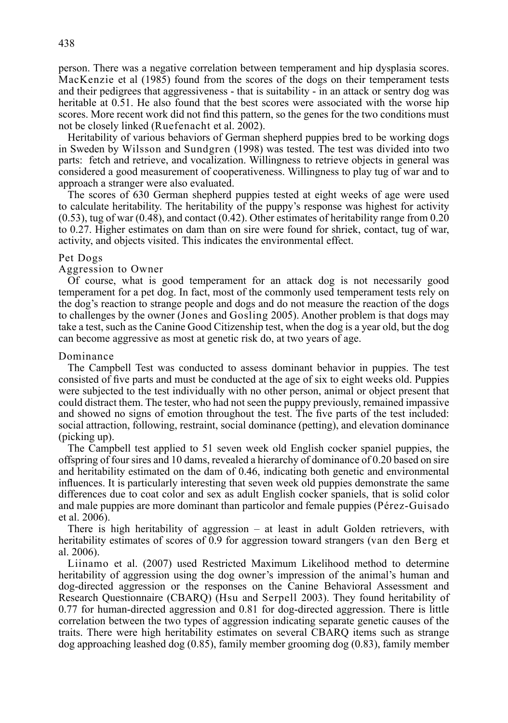person. There was a negative correlation between temperament and hip dysplasia scores. MacKenzie et al (1985) found from the scores of the dogs on their temperament tests and their pedigrees that aggressiveness - that is suitability - in an attack or sentry dog was heritable at 0.51. He also found that the best scores were associated with the worse hip scores. More recent work did not find this pattern, so the genes for the two conditions must not be closely linked (Ruefenacht et al. 2002).

Heritability of various behaviors of German shepherd puppies bred to be working dogs in Sweden by Wilsson and Sundgren (1998) was tested. The test was divided into two parts: fetch and retrieve, and vocalization. Willingness to retrieve objects in general was considered a good measurement of cooperativeness. Willingness to play tug of war and to approach a stranger were also evaluated.

The scores of 630 German shepherd puppies tested at eight weeks of age were used to calculate heritability. The heritability of the puppy's response was highest for activity (0.53), tug of war (0.48), and contact (0.42). Other estimates of heritability range from 0.20 to 0.27. Higher estimates on dam than on sire were found for shriek, contact, tug of war, activity, and objects visited. This indicates the environmental effect.

#### Pet Dogs

### Aggression to Owner

Of course, what is good temperament for an attack dog is not necessarily good temperament for a pet dog. In fact, most of the commonly used temperament tests rely on the dog's reaction to strange people and dogs and do not measure the reaction of the dogs to challenges by the owner (Jones and Gosling 2005). Another problem is that dogs may take a test, such as the Canine Good Citizenship test, when the dog is a year old, but the dog can become aggressive as most at genetic risk do, at two years of age.

### Dominance

The Campbell Test was conducted to assess dominant behavior in puppies. The test consisted of five parts and must be conducted at the age of six to eight weeks old. Puppies were subjected to the test individually with no other person, animal or object present that could distract them. The tester, who had not seen the puppy previously, remained impassive and showed no signs of emotion throughout the test. The five parts of the test included: social attraction, following, restraint, social dominance (petting), and elevation dominance (picking up).

The Campbell test applied to 51 seven week old English cocker spaniel puppies, the offspring of four sires and 10 dams, revealed a hierarchy of dominance of 0.20 based on sire and heritability estimated on the dam of 0.46, indicating both genetic and environmental influences. It is particularly interesting that seven week old puppies demonstrate the same differences due to coat color and sex as adult English cocker spaniels, that is solid color and male puppies are more dominant than particolor and female puppies (Pérez-Guisado et al. 2006).

There is high heritability of aggression – at least in adult Golden retrievers, with heritability estimates of scores of 0.9 for aggression toward strangers (van den Berg et al. 2006).

Liinamo et al. (2007) used Restricted Maximum Likelihood method to determine heritability of aggression using the dog owner's impression of the animal's human and dog-directed aggression or the responses on the Canine Behavioral Assessment and Research Questionnaire (CBARQ) (Hsu and Serpell 2003). They found heritability of 0.77 for human-directed aggression and 0.81 for dog-directed aggression. There is little correlation between the two types of aggression indicating separate genetic causes of the traits. There were high heritability estimates on several CBARQ items such as strange dog approaching leashed dog (0.85), family member grooming dog (0.83), family member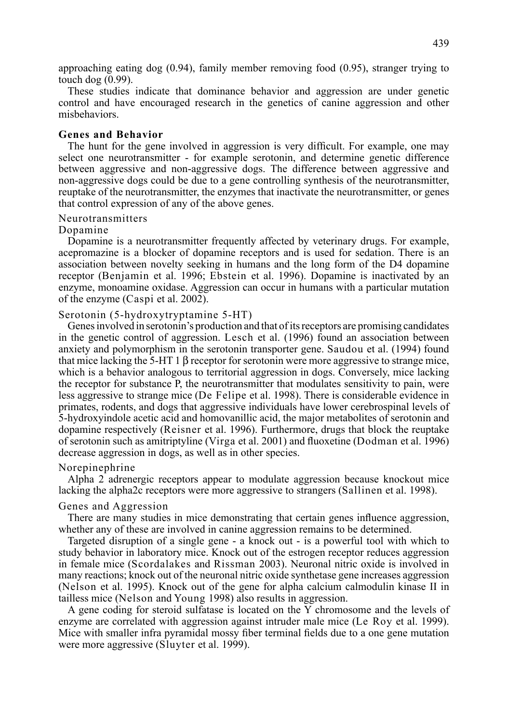approaching eating dog (0.94), family member removing food (0.95), stranger trying to touch dog (0.99).

These studies indicate that dominance behavior and aggression are under genetic control and have encouraged research in the genetics of canine aggression and other misbehaviors.

#### **Genes and Behavior**

The hunt for the gene involved in aggression is very difficult. For example, one may select one neurotransmitter - for example serotonin, and determine genetic difference between aggressive and non-aggressive dogs. The difference between aggressive and non-aggressive dogs could be due to a gene controlling synthesis of the neurotransmitter, reuptake of the neurotransmitter, the enzymes that inactivate the neurotransmitter, or genes that control expression of any of the above genes.

### Neurotransmitters

#### Dopamine

Dopamine is a neurotransmitter frequently affected by veterinary drugs. For example, acepromazine is a blocker of dopamine receptors and is used for sedation. There is an association between novelty seeking in humans and the long form of the D4 dopamine receptor (Benjamin et al. 1996; Ebstein et al. 1996). Dopamine is inactivated by an enzyme, monoamine oxidase. Aggression can occur in humans with a particular mutation of the enzyme (Caspi et al. 2002).

### Serotonin (5-hydroxytryptamine 5-HT)

Genes involved in serotonin's production and that of its receptors are promising candidates in the genetic control of aggression. Lesch et al. (1996) found an association between anxiety and polymorphism in the serotonin transporter gene. Saudou et al. (1994) found that mice lacking the 5-HT 1  $\beta$  receptor for serotonin were more aggressive to strange mice, which is a behavior analogous to territorial aggression in dogs. Conversely, mice lacking the receptor for substance P, the neurotransmitter that modulates sensitivity to pain, were less aggressive to strange mice (De Felipe et al. 1998). There is considerable evidence in primates, rodents, and dogs that aggressive individuals have lower cerebrospinal levels of 5-hydroxyindole acetic acid and homovanillic acid, the major metabolites of serotonin and dopamine respectively (Reisner et al. 1996). Furthermore, drugs that block the reuptake of serotonin such as amitriptyline (Virga et al. 2001) and fluoxetine (Dodman et al. 1996) decrease aggression in dogs, as well as in other species.

#### Norepinephrine

Alpha 2 adrenergic receptors appear to modulate aggression because knockout mice lacking the alpha2c receptors were more aggressive to strangers (Sallinen et al. 1998).

### Genes and Aggression

There are many studies in mice demonstrating that certain genes influence aggression, whether any of these are involved in canine aggression remains to be determined.

Targeted disruption of a single gene - a knock out - is a powerful tool with which to study behavior in laboratory mice. Knock out of the estrogen receptor reduces aggression in female mice (Scordalakes and Rissman 2003). Neuronal nitric oxide is involved in many reactions; knock out of the neuronal nitric oxide synthetase gene increases aggression (Nelson et al. 1995). Knock out of the gene for alpha calcium calmodulin kinase II in tailless mice (Nelson and Young 1998) also results in aggression.

A gene coding for steroid sulfatase is located on the Y chromosome and the levels of enzyme are correlated with aggression against intruder male mice (Le Roy et al. 1999). Mice with smaller infra pyramidal mossy fiber terminal fields due to a one gene mutation were more aggressive (Sluyter et al. 1999).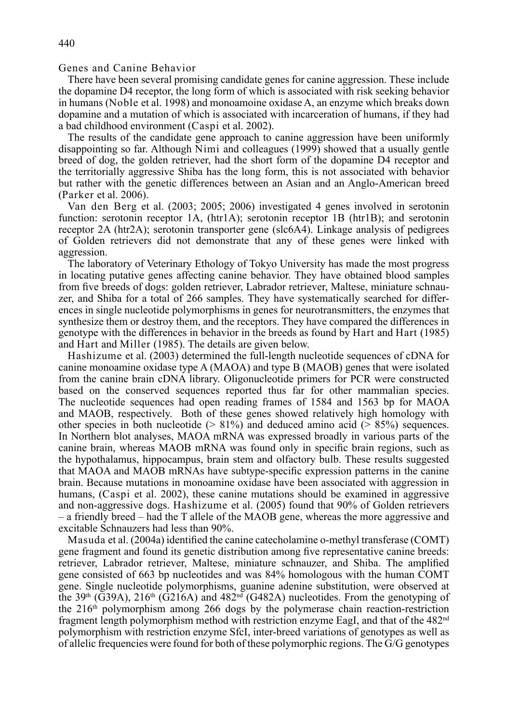Genes and Canine Behavior

There have been several promising candidate genes for canine aggression. These include the dopamine D4 receptor, the long form of which is associated with risk seeking behavior in humans (Noble et al. 1998) and monoamoine oxidase A, an enzyme which breaks down dopamine and a mutation of which is associated with incarceration of humans, if they had a bad childhood environment (Caspi et al. 2002).

The results of the candidate gene approach to canine aggression have been uniformly disappointing so far. Although Nimi and colleagues (1999) showed that a usually gentle breed of dog, the golden retriever, had the short form of the dopamine D4 receptor and the territorially aggressive Shiba has the long form, this is not associated with behavior but rather with the genetic differences between an Asian and an Anglo-American breed (Parker et al. 2006).

Van den Berg et al. (2003; 2005; 2006) investigated 4 genes involved in serotonin function: serotonin receptor 1A, (htr1A); serotonin receptor 1B (htr1B); and serotonin receptor 2A (htr2A); serotonin transporter gene (slc6A4). Linkage analysis of pedigrees of Golden retrievers did not demonstrate that any of these genes were linked with aggression.

The laboratory of Veterinary Ethology of Tokyo University has made the most progress in locating putative genes affecting canine behavior. They have obtained blood samples from five breeds of dogs: golden retriever, Labrador retriever, Maltese, miniature schnauzer, and Shiba for a total of 266 samples. They have systematically searched for differences in single nucleotide polymorphisms in genes for neurotransmitters, the enzymes that synthesize them or destroy them, and the receptors. They have compared the differences in genotype with the differences in behavior in the breeds as found by Hart and Hart (1985) and Hart and Miller (1985). The details are given below.

Hashizume et al. (2003) determined the full-length nucleotide sequences of cDNA for canine monoamine oxidase type A (MAOA) and type B (MAOB) genes that were isolated from the canine brain cDNA library. Oligonucleotide primers for PCR were constructed based on the conserved sequences reported thus far for other mammalian species. The nucleotide sequences had open reading frames of 1584 and 1563 bp for MAOA and MAOB, respectively. Both of these genes showed relatively high homology with other species in both nucleotide ( $> 81\%$ ) and deduced amino acid ( $> 85\%$ ) sequences. In Northern blot analyses, MAOA mRNA was expressed broadly in various parts of the canine brain, whereas MAOB mRNA was found only in specific brain regions, such as the hypothalamus, hippocampus, brain stem and olfactory bulb. These results suggested that MAOA and MAOB mRNAs have subtype-specific expression patterns in the canine brain. Because mutations in monoamine oxidase have been associated with aggression in humans, (Caspi et al. 2002), these canine mutations should be examined in aggressive and non-aggressive dogs. Hashizume et al. (2005) found that 90% of Golden retrievers – a friendly breed – had the T allele of the MAOB gene, whereas the more aggressive and excitable Schnauzers had less than 90%.

Masuda et al.  $(2004a)$  identified the canine cate cholamine o-methyl transferase  $(COMT)$ gene fragment and found its genetic distribution among five representative canine breeds: retriever, Labrador retriever, Maltese, miniature schnauzer, and Shiba. The amplified gene consisted of 663 bp nucleotides and was 84% homologous with the human COMT gene. Single nucleotide polymorphisms, guanine adenine substitution, were observed at the 39<sup>th</sup> (G39A), 216<sup>th</sup> (G216A) and 482<sup>nd</sup> (G482A) nucleotides. From the genotyping of the  $216<sup>th</sup>$  polymorphism among 266 dogs by the polymerase chain reaction-restriction fragment length polymorphism method with restriction enzyme EagI, and that of the  $482<sup>nd</sup>$ polymorphism with restriction enzyme SfcI, inter-breed variations of genotypes as well as of allelic frequencies were found for both of these polymorphic regions. The G/G genotypes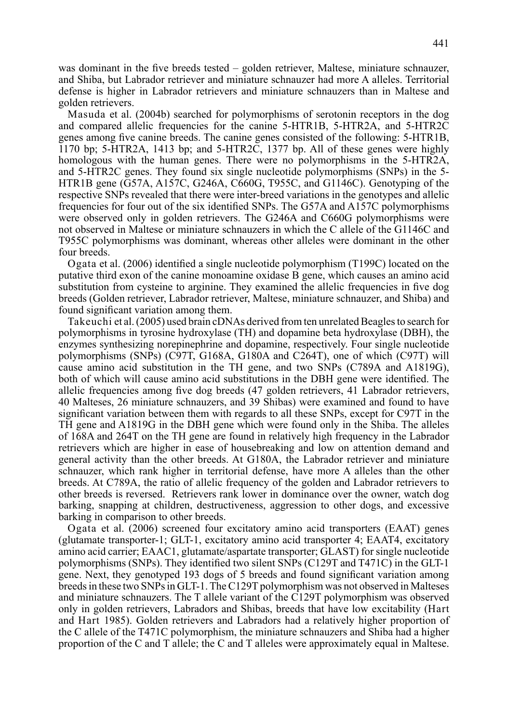was dominant in the five breeds tested – golden retriever, Maltese, miniature schnauzer, and Shiba, but Labrador retriever and miniature schnauzer had more A alleles. Territorial defense is higher in Labrador retrievers and miniature schnauzers than in Maltese and golden retrievers.

Masuda et al. (2004b) searched for polymorphisms of serotonin receptors in the dog and compared allelic frequencies for the canine 5-HTR1B, 5-HTR2A, and 5-HTR2C genes among five canine breeds. The canine genes consisted of the following: 5-HTR1B, 1170 bp; 5-HTR2A, 1413 bp; and 5-HTR2C, 1377 bp. All of these genes were highly homologous with the human genes. There were no polymorphisms in the 5-HTR2A, and 5-HTR2C genes. They found six single nucleotide polymorphisms (SNPs) in the 5- HTR1B gene (G57A, A157C, G246A, C660G, T955C, and G1146C). Genotyping of the respective SNPs revealed that there were inter-breed variations in the genotypes and allelic frequencies for four out of the six identified SNPs. The G57A and A157C polymorphisms were observed only in golden retrievers. The G246A and C660G polymorphisms were not observed in Maltese or miniature schnauzers in which the C allele of the G1146C and T955C polymorphisms was dominant, whereas other alleles were dominant in the other four breeds.

Ogata et al.  $(2006)$  identified a single nucleotide polymorphism  $(T199C)$  located on the putative third exon of the canine monoamine oxidase B gene, which causes an amino acid substitution from cysteine to arginine. They examined the allelic frequencies in five dog breeds (Golden retriever, Labrador retriever, Maltese, miniature schnauzer, and Shiba) and found significant variation among them.

Takeuchi et al. (2005) used brain cDNAs derived from ten unrelated Beagles to search for polymorphisms in tyrosine hydroxylase (TH) and dopamine beta hydroxylase (DBH), the enzymes synthesizing norepinephrine and dopamine, respectively. Four single nucleotide polymorphisms (SNPs) (C97T, G168A, G180A and C264T), one of which (C97T) will cause amino acid substitution in the TH gene, and two SNPs (C789A and A1819G), both of which will cause amino acid substitutions in the DBH gene were identified. The allelic frequencies among five dog breeds (47 golden retrievers, 41 Labrador retrievers, 40 Malteses, 26 miniature schnauzers, and 39 Shibas) were examined and found to have significant variation between them with regards to all these SNPs, except for C97T in the TH gene and A1819G in the DBH gene which were found only in the Shiba. The alleles of 168A and 264T on the TH gene are found in relatively high frequency in the Labrador retrievers which are higher in ease of housebreaking and low on attention demand and general activity than the other breeds. At G180A, the Labrador retriever and miniature schnauzer, which rank higher in territorial defense, have more A alleles than the other breeds. At C789A, the ratio of allelic frequency of the golden and Labrador retrievers to other breeds is reversed. Retrievers rank lower in dominance over the owner, watch dog barking, snapping at children, destructiveness, aggression to other dogs, and excessive barking in comparison to other breeds.

Ogata et al. (2006) screened four excitatory amino acid transporters (EAAT) genes (glutamate transporter-1; GLT-1, excitatory amino acid transporter 4; EAAT4, excitatory amino acid carrier; EAAC1, glutamate/aspartate transporter; GLAST) for single nucleotide polymorphisms (SNPs). They identified two silent SNPs (C129T and T471C) in the GLT-1 gene. Next, they genotyped 193 dogs of 5 breeds and found significant variation among breeds in these two SNPs in GLT-1. The C129T polymorphism was not observed in Malteses and miniature schnauzers. The T allele variant of the C129T polymorphism was observed only in golden retrievers, Labradors and Shibas, breeds that have low excitability (Hart and Hart 1985). Golden retrievers and Labradors had a relatively higher proportion of the C allele of the T471C polymorphism, the miniature schnauzers and Shiba had a higher proportion of the C and T allele; the C and T alleles were approximately equal in Maltese.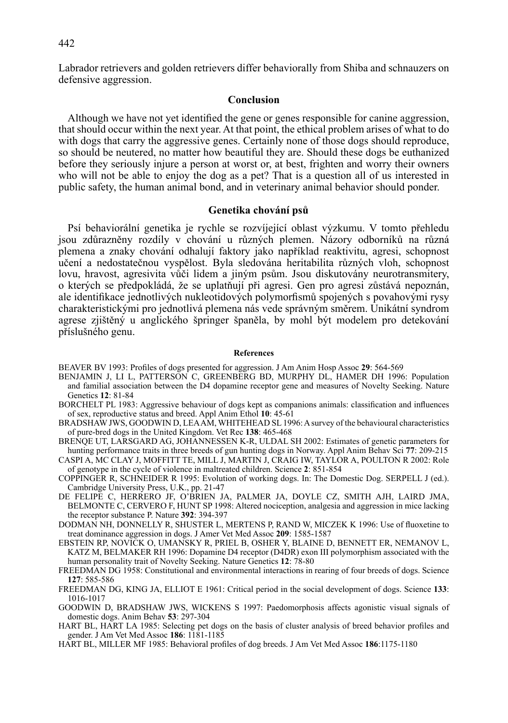Labrador retrievers and golden retrievers differ behaviorally from Shiba and schnauzers on defensive aggression.

## **Conclusion**

Although we have not yet identified the gene or genes responsible for canine aggression, that should occur within the next year. At that point, the ethical problem arises of what to do with dogs that carry the aggressive genes. Certainly none of those dogs should reproduce, so should be neutered, no matter how beautiful they are. Should these dogs be euthanized before they seriously injure a person at worst or, at best, frighten and worry their owners who will not be able to enjoy the dog as a pet? That is a question all of us interested in public safety, the human animal bond, and in veterinary animal behavior should ponder.

#### **Genetika chování psů**

Psí behaviorální genetika je rychle se rozvíjející oblast výzkumu. V tomto přehledu jsou zdůrazněny rozdíly v chování u různých plemen. Názory odborníků na různá plemena a znaky chování odhalují faktory jako například reaktivitu, agresi, schopnost učení a nedostatečnou vyspělost. Byla sledována heritabilita různých vloh, schopnost lovu, hravost, agresivita vůči lidem a jiným psům. Jsou diskutovány neurotransmitery, o kterých se předpokládá, že se uplatňují při agresi. Gen pro agresi zůstává nepoznán, ale identifikace jednotlivých nukleotidových polymorfismů spojených s povahovými rysy charakteristickými pro jednotlivá plemena nás vede správným směrem. Unikátní syndrom agrese zjištěný u anglického špringer španěla, by mohl být modelem pro detekování příslušného genu.

#### **References**

BEAVER BV 1993: Profiles of dogs presented for aggression. J Am Anim Hosp Assoc 29: 564-569

- BENJAMIN J, LI L, PATTERSON C, GREENBERG BD, MURPHY DL, HAMER DH 1996: Population and familial association between the D4 dopamine receptor gene and measures of Novelty Seeking. Nature Genetics **12**: 81-84
- BORCHELT PL 1983: Aggressive behaviour of dogs kept as companions animals: classification and influences of sex, reproductive status and breed. Appl Anim Ethol **10**: 45-61
- BRADSHAW JWS, GOODWIN D, LEA AM, WHITEHEAD SL 1996: A survey of the behavioural characteristics of pure-bred dogs in the United Kingdom. Vet Rec **138**: 465-468
- BRENQE UT, LARSGARD AG, JOHANNESSEN K-R, ULDAL SH 2002: Estimates of genetic parameters for hunting performance traits in three breeds of gun hunting dogs in Norway. Appl Anim Behav Sci **77**: 209-215
- CASPI A, MC CLAY J, MOFFITT TE, MILL J, MARTIN J, CRAIG IW, TAYLOR A, POULTON R 2002: Role of genotype in the cycle of violence in maltreated children. Science **2**: 851-854
- COPPINGER R, SCHNEIDER R 1995: Evolution of working dogs. In: The Domestic Dog. SERPELL J (ed.). Cambridge University Press, U.K., pp. 21-47
- DE FELIPE C, HERRERO JF, O'BRIEN JA, PALMER JA, DOYLE CZ, SMITH AJH, LAIRD JMA, BELMONTE C, CERVERO F, HUNT SP 1998: Altered nociception, analgesia and aggression in mice lacking the receptor substance P. Nature **392**: 394-397
- DODMAN NH, DONNELLY R, SHUSTER L, MERTENS P, RAND W, MICZEK K 1996: Use of fluoxetine to treat dominance aggression in dogs. J Amer Vet Med Assoc **209**: 1585-1587
- EBSTEIN RP, NOVICK O, UMANSKY R, PRIEL B, OSHER Y, BLAINE D, BENNETT ER, NEMANOV L, KATZ M, BELMAKER RH 1996: Dopamine D4 receptor (D4DR) exon III polymorphism associated with the human personality trait of Novelty Seeking. Nature Genetics **12**: 78-80
- FREEDMAN DG 1958: Constitutional and environmental interactions in rearing of four breeds of dogs. Science **127**: 585-586
- FREEDMAN DG, KING JA, ELLIOT E 1961: Critical period in the social development of dogs. Science **133**: 1016-1017
- GOODWIN D, BRADSHAW JWS, WICKENS S 1997: Paedomorphosis affects agonistic visual signals of domestic dogs. Anim Behav **53**: 297-304
- HART BL, HART LA 1985: Selecting pet dogs on the basis of cluster analysis of breed behavior profiles and gender. J Am Vet Med Assoc **186**: 1181-1185
- HART BL, MILLER MF 1985: Behavioral profiles of dog breeds. J Am Vet Med Assoc 186:1175-1180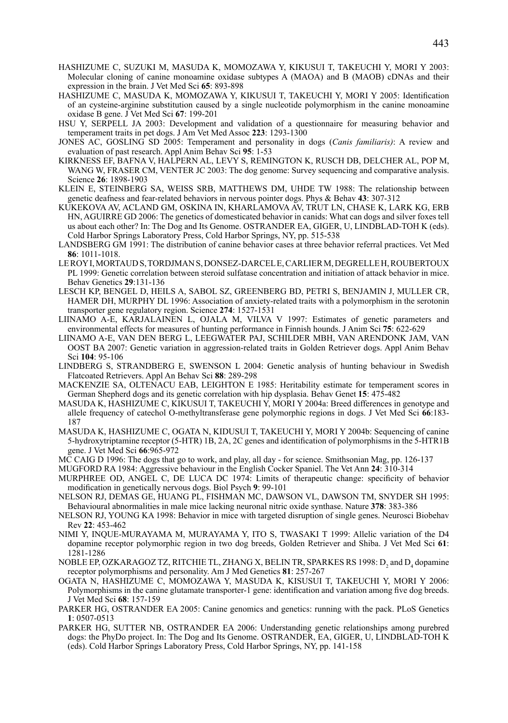- HASHIZUME C, SUZUKI M, MASUDA K, MOMOZAWA Y, KIKUSUI T, TAKEUCHI Y, MORI Y 2003: Molecular cloning of canine monoamine oxidase subtypes A (MAOA) and B (MAOB) cDNAs and their expression in the brain. J Vet Med Sci **65**: 893-898
- HASHIZUME C, MASUDA K, MOMOZAWA Y, KIKUSUI T, TAKEUCHI Y, MORI Y 2005: Identification of an cysteine-arginine substitution caused by a single nucleotide polymorphism in the canine monoamine oxidase B gene. J Vet Med Sci **67**: 199-201
- HSU Y, SERPELL JA 2003: Development and validation of a questionnaire for measuring behavior and temperament traits in pet dogs. J Am Vet Med Assoc **223**: 1293-1300
- JONES AC, GOSLING SD 2005: Temperament and personality in dogs (*Canis familiaris)*: A review and evaluation of past research. Appl Anim Behav Sci **95**: 1-53
- KIRKNESS EF, BAFNA V, HALPERN AL, LEVY S, REMINGTON K, RUSCH DB, DELCHER AL, POP M, WANG W, FRASER CM, VENTER JC 2003: The dog genome: Survey sequencing and comparative analysis. Science **26**: 1898-1903
- KLEIN E, STEINBERG SA, WEISS SRB, MATTHEWS DM, UHDE TW 1988: The relationship between genetic deafness and fear-related behaviors in nervous pointer dogs. Phys & Behav **43**: 307-312
- KUKEKOVA AV, ACLAND GM, OSKINA IN, KHARLAMOVA AV, TRUT LN, CHASE K, LARK KG, ERB HN, AGUIRRE GD 2006: The genetics of domesticated behavior in canids: What can dogs and silver foxes tell us about each other? In: The Dog and Its Genome. OSTRANDER EA, GIGER, U, LINDBLAD-TOH K (eds). Cold Harbor Springs Laboratory Press, Cold Harbor Springs, NY, pp. 515-538
- LANDSBERG GM 1991: The distribution of canine behavior cases at three behavior referral practices. Vet Med **86**: 1011-1018.
- LE ROY I, MORTAUD S, TORDJMAN S, DONSEZ-DARCEL E, CARLIER M, DEGRELLE H, ROUBERTOUX PL 1999: Genetic correlation between steroid sulfatase concentration and initiation of attack behavior in mice. Behav Genetics **29**:131-136
- LESCH KP, BENGEL D, HEILS A, SABOL SZ, GREENBERG BD, PETRI S, BENJAMIN J, MULLER CR, HAMER DH, MURPHY DL 1996: Association of anxiety-related traits with a polymorphism in the serotonin transporter gene regulatory region. Science **274**: 1527-1531
- LIINAMO A-E, KARJALAINEN L, OJALA M, VILVA V 1997: Estimates of genetic parameters and environmental effects for measures of hunting performance in Finnish hounds. J Anim Sci **75**: 622-629
- LIINAMO A-E, VAN DEN BERG L, LEEGWATER PAJ, SCHILDER MBH, VAN ARENDONK JAM, VAN OOST BA 2007: Genetic variation in aggression-related traits in Golden Retriever dogs. Appl Anim Behav Sci **104**: 95-106
- LINDBERG S, STRANDBERG E, SWENSON L 2004: Genetic analysis of hunting behaviour in Swedish Flatcoated Retrievers. Appl An Behav Sci **88**: 289-298
- MACKENZIE SA, OLTENACU EAB, LEIGHTON E 1985: Heritability estimate for temperament scores in German Shepherd dogs and its genetic correlation with hip dysplasia. Behav Genet **15**: 475-482
- MASUDA K, HASHIZUME C, KIKUSUI T, TAKEUCHI Y, MORI Y 2004a: Breed differences in genotype and allele frequency of catechol O-methyltransferase gene polymorphic regions in dogs. J Vet Med Sci **66**:183- 187
- MASUDA K, HASHIZUME C, OGATA N, KIDUSUI T, TAKEUCHI Y, MORI Y 2004b; Sequencing of canine 5-hydroxytriptamine receptor (5-HTR) 1B, 2A, 2C genes and identification of polymorphisms in the 5-HTR1B gene. J Vet Med Sci **66**:965-972
- MC CAIG D 1996: The dogs that go to work, and play, all day for science. Smithsonian Mag, pp. 126-137
- MUGFORD RA 1984: Aggressive behaviour in the English Cocker Spaniel. The Vet Ann **24**: 310-314
- MURPHREE OD, ANGEL C, DE LUCA DC 1974: Limits of therapeutic change: specificity of behavior modification in genetically nervous dogs. Biol Psych 9: 99-101
- NELSON RJ, DEMAS GE, HUANG PL, FISHMAN MC, DAWSON VL, DAWSON TM, SNYDER SH 1995: Behavioural abnormalities in male mice lacking neuronal nitric oxide synthase. Nature **378**: 383-386
- NELSON RJ, YOUNG KA 1998: Behavior in mice with targeted disruption of single genes. Neurosci Biobehav Rev **22**: 453-462
- NIMI Y, INQUE-MURAYAMA M, MURAYAMA Y, ITO S, TWASAKI T 1999: Allelic variation of the D4 dopamine receptor polymorphic region in two dog breeds, Golden Retriever and Shiba. J Vet Med Sci **61**: 1281-1286
- NOBLE EP, OZKARAGOZ TZ, RITCHIE TL, ZHANG X, BELIN TR, SPARKES RS 1998:  $D_2$  and  $D_4$  dopamine receptor polymorphisms and personality. Am J Med Genetics **81**: 257-267
- OGATA N, HASHIZUME C, MOMOZAWA Y, MASUDA K, KISUSUI T, TAKEUCHI Y, MORI Y 2006: Polymorphisms in the canine glutamate transporter-1 gene: identification and variation among five dog breeds. J Vet Med Sci **68**: 157-159
- PARKER HG, OSTRANDER EA 2005: Canine genomics and genetics: running with the pack. PLoS Genetics **1**: 0507-0513
- PARKER HG, SUTTER NB, OSTRANDER EA 2006: Understanding genetic relationships among purebred dogs: the PhyDo project. In: The Dog and Its Genome. OSTRANDER, EA, GIGER, U, LINDBLAD-TOH K (eds). Cold Harbor Springs Laboratory Press, Cold Harbor Springs, NY, pp. 141-158